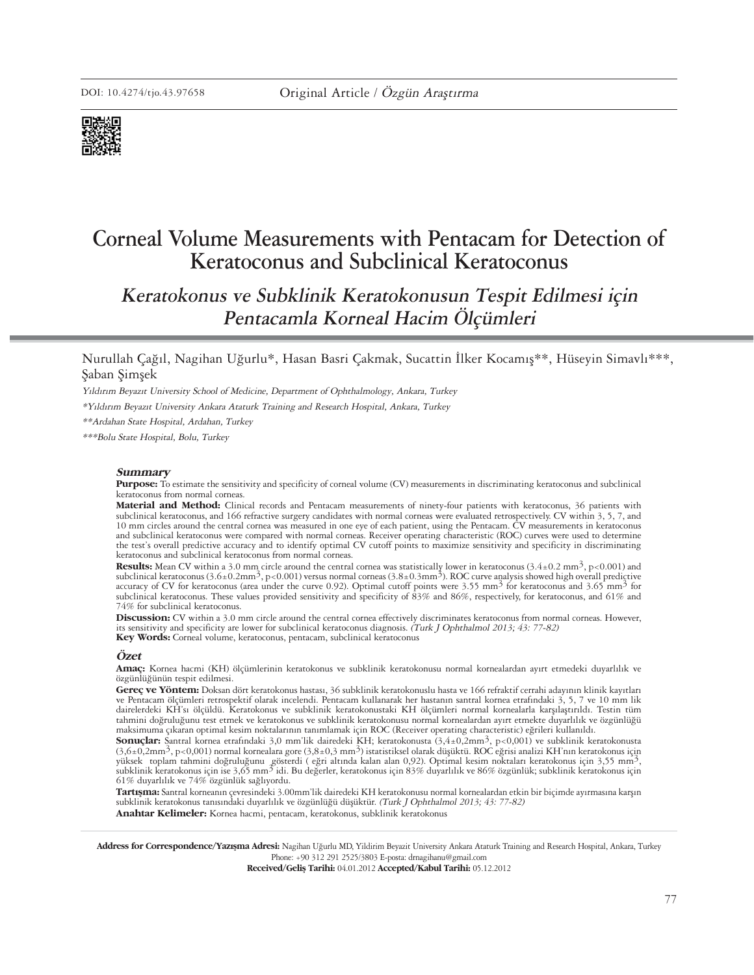

# **Corneal Volume Measurements with Pentacam for Detection of Keratoconus and Subclinical Keratoconus**

**Keratokonus ve Subklinik Keratokonusun Tespit Edilmesi için Pentacamla Korneal Hacim Ölçümleri**

# Nurullah Çağıl, Nagihan Uğurlu\*, Hasan Basri Çakmak, Sucattin İlker Kocamış\*\*, Hüseyin Simavlı\*\*\*, Şaban Şimşek

Yıldırım Beyazıt University School of Medicine, Department of Ophthalmology, Ankara, Turkey

\*Yıldırım Beyazıt University Ankara Ataturk Training and Research Hospital, Ankara, Turkey

\*\*Ardahan State Hospital, Ardahan, Turkey

\*\*\*Bolu State Hospital, Bolu, Turkey

#### **Sum mary**

Pur pose: To estimate the sensitivity and specificity of corneal volume (CV) measurements in discriminating keratoconus and subclinical keratoconus from normal corneas.

Material and Method: Clinical records and Pentacam measurements of ninety-four patients with keratoconus, 36 patients with subclinical keratoconus, and 166 refractive surgery candidates with normal corneas were evaluated retrospectively. CV within 3, 5, 7, and 10 mm circles around the central cornea was measured in one eye of each patient, usi and subclinical keratoconus were compared with normal corneas. Receiver operating characteristic (ROC) curves were used to determine the test's overall predictive accuracy and to identify optimal CV cutoff points to maximize sensitivity and specificity in discriminating keratoconus and subclinical keratoconus from normal corneas.

**Re sults:** Mean CV within a 3.0 mm circle around the central cornea was statistically lower in keratoconus (3.4±0.2 mm3, p<0.001) and subclinical keratoconus (3.6±0.2mm<sup>3</sup>, p<0.001) versus normal corneas (3.8±0.3mm<sup>3</sup>). ROC curve analysis showed high overall predictive accuracy of CV for keratoconus (area under the curve 0.92). Optimal cutoff points were 3.55 mm<sup>3</sup> for keratoconus and 3.65 mm<sup>3</sup> for subclinical keratoconus. These values provided sensitivity and specificity of 83% and 86%, respectively, for keratoconus, and 61% and 74% for subclinical keratoconus.

Discussion: CV within a 3.0 mm circle around the central cornea effectively discriminates keratoconus from normal corneas. However, its sensitivity and specificity are lower for subclinical keratoconus diagnosis. (Turk J Ophthalmol 2013; 43: 77-82) **Key Words:** Corneal volume, keratoconus, pentacam, subclinical keratoconus

#### **Özet**

**Amaç:** Kornea hacmi (KH) ölçümlerinin keratokonus ve subklinik keratokonusu normal kornealardan ayırt etmedeki duyarlılık ve özgünlüğünün tespit edilmesi.

Gereç ve Yöntem: Doksan dört keratokonus hastası, 36 subklinik keratokonuslu hasta ve 166 refraktif cerrahi adayının klinik kayıtları ve Pentacam ölçümleri retrospektif olarak incelendi. Pentacam kullanarak her hastanın santral kornea etrafındaki 3, 5, 7 ve 10 mm lik dairelerdeki KH'sı ölçüldü. Keratokonus ve subklinik keratokonustaki KH ölçümleri normal kornealarla karşılaştırıldı. Testin tüm tahmini doğruluğunu test etmek ve keratokonus ve subklinik keratokonustaki KH ölçümleri norma maksimuma çıkaran optimal kesim noktalarının tanımlamak için ROC (Receiver operating characteristic) eğrileri kullanıldı.

**Sonuçlar:** Santral kornea etrafındaki 3,0 mm'lik dairedeki KH; keratokonusta (3,4±0,2mm3, p<0,001) ve subklinik keratokonusta (3,6±0,2mm3, p<0,001) normal kornealara gore (3,8±0,3 mm3) istatistiksel olarak düşüktü. ROC eğrisi analizi KH'nın keratokonus için yüksek toplam tahmini doğruluğunu gösterdi ( eğri altında kalan alan 0,92). Optimal kesim noktaları keratokonus için 3,55 mm<sup>3</sup>, subklinik keratokonus için 3,55 mm<sup>3</sup>, subklinik keratokonus için 3,55 mm<sup>3</sup>, subklinik kerat 61% duyarlılık ve 74% özgünlük sağlıyordu.

Tartışma: Santral korneanın çevresindeki 3.00mm'lik dairedeki KH keratokonusu normal kornealardan etkin bir biçimde ayırmasına karşın subklinik keratokonus tanısındaki duyarlılık ve özgünlüğü düşüktür. (Turk J Ophthalmol 2013; 43: 77-82)

Anahtar Kelimeler: Kornea hacmi, pentacam, keratokonus, subklinik keratokonus

Address for Correspondence/Yazışma Adresi: Nagihan Uğurlu MD, Yildirim Beyazit University Ankara Ataturk Training and Research Hospital, Ankara, Turkey Phone: +90 312 291 2525/3803 E-posta: drnagihanu@gmail.com

**Received/Gelis Tarihi: 04.01.2012 Accepted/Kabul Tarihi: 05.12.2012**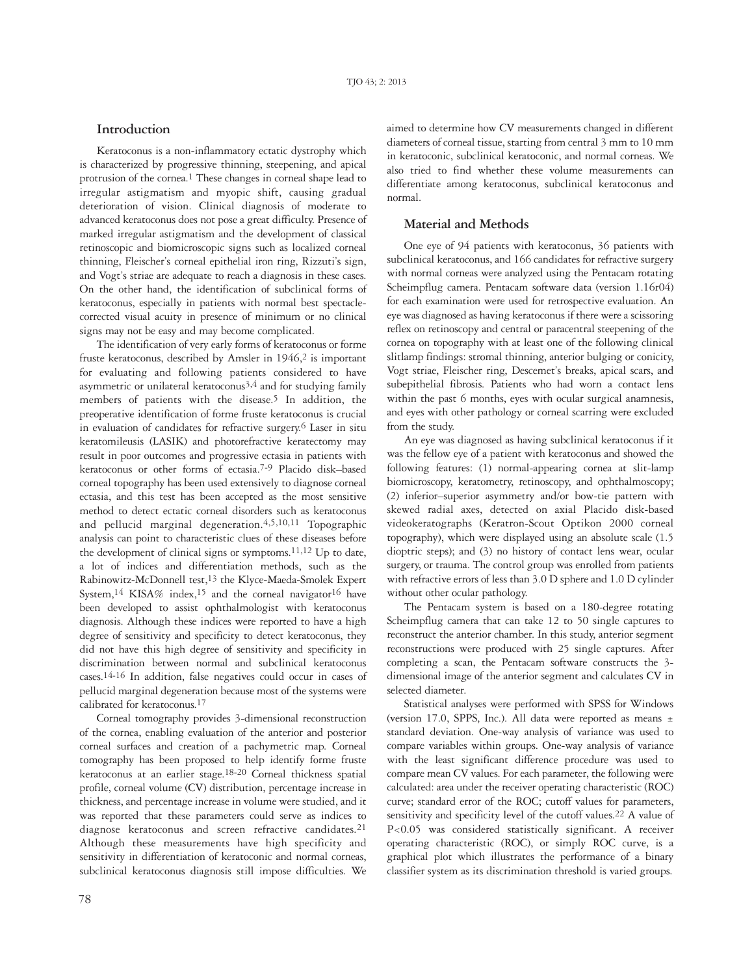## **Introduction**

Keratoconus is a non-inflammatory ectatic dystrophy which is characterized by progressive thinning, steepening, and apical protrusion of the cornea.1 These changes in corneal shape lead to irregular astigmatism and myopic shift, causing gradual deterioration of vision. Clinical diagnosis of moderate to advanced keratoconus does not pose a great difficulty. Presence of marked irregular astigmatism and the development of classical retinoscopic and biomicroscopic signs such as localized corneal thinning, Fleischer's corneal epithelial iron ring, Rizzuti's sign, and Vogt's striae are adequate to reach a diagnosis in these cases. On the other hand, the identification of subclinical forms of keratoconus, especially in patients with normal best spectaclecorrected visual acuity in presence of minimum or no clinical signs may not be easy and may become complicated.

The identification of very early forms of keratoconus or forme fruste keratoconus, described by Amsler in 1946,<sup>2</sup> is important for evaluating and following patients considered to have asymmetric or unilateral keratoconus<sup>3,4</sup> and for studying family members of patients with the disease.<sup>5</sup> In addition, the preoperative identification of forme fruste keratoconus is crucial in evaluation of candidates for refractive surgery.6 Laser in situ keratomileusis (LASIK) and photorefractive keratectomy may result in poor outcomes and progressive ectasia in patients with keratoconus or other forms of ectasia.7-9 Placido disk–based corneal topography has been used extensively to diagnose corneal ectasia, and this test has been accepted as the most sensitive method to detect ectatic corneal disorders such as keratoconus and pellucid marginal degeneration.4,5,10,11 Topographic analysis can point to characteristic clues of these diseases before the development of clinical signs or symptoms.<sup>11,12</sup> Up to date, a lot of indices and differentiation methods, such as the Rabinowitz-McDonnell test,13 the Klyce-Maeda-Smolek Expert System,<sup>14</sup> KISA% index,<sup>15</sup> and the corneal navigator<sup>16</sup> have been developed to assist ophthalmologist with keratoconus diagnosis. Although these indices were reported to have a high degree of sensitivity and specificity to detect keratoconus, they did not have this high degree of sensitivity and specificity in discrimination between normal and subclinical keratoconus cases.14-16 In addition, false negatives could occur in cases of pellucid marginal degeneration because most of the systems were calibrated for keratoconus.17

Corneal tomography provides 3-dimensional reconstruction of the cornea, enabling evaluation of the anterior and posterior corneal surfaces and creation of a pachymetric map. Corneal tomography has been proposed to help identify forme fruste keratoconus at an earlier stage.18-20 Corneal thickness spatial profile, corneal volume (CV) distribution, percentage increase in thickness, and percentage increase in volume were studied, and it was reported that these parameters could serve as indices to diagnose keratoconus and screen refractive candidates.21 Although these measurements have high specificity and sensitivity in differentiation of keratoconic and normal corneas, subclinical keratoconus diagnosis still impose difficulties. We

aimed to determine how CV measurements changed in different diameters of corneal tissue, starting from central 3 mm to 10 mm in keratoconic, subclinical keratoconic, and normal corneas. We also tried to find whether these volume measurements can differentiate among keratoconus, subclinical keratoconus and normal.

## **Material and Methods**

One eye of 94 patients with keratoconus, 36 patients with subclinical keratoconus, and 166 candidates for refractive surgery with normal corneas were analyzed using the Pentacam rotating Scheimpflug camera. Pentacam software data (version 1.16r04) for each examination were used for retrospective evaluation. An eye was diagnosed as having keratoconus if there were a scissoring reflex on retinoscopy and central or paracentral steepening of the cornea on topography with at least one of the following clinical slitlamp findings: stromal thinning, anterior bulging or conicity, Vogt striae, Fleischer ring, Descemet's breaks, apical scars, and subepithelial fibrosis. Patients who had worn a contact lens within the past 6 months, eyes with ocular surgical anamnesis, and eyes with other pathology or corneal scarring were excluded from the study.

An eye was diagnosed as having subclinical keratoconus if it was the fellow eye of a patient with keratoconus and showed the following features: (1) normal-appearing cornea at slit-lamp biomicroscopy, keratometry, retinoscopy, and ophthalmoscopy; (2) inferior–superior asymmetry and/or bow-tie pattern with skewed radial axes, detected on axial Placido disk-based videokeratographs (Keratron-Scout Optikon 2000 corneal topography), which were displayed using an absolute scale (1.5 dioptric steps); and (3) no history of contact lens wear, ocular surgery, or trauma. The control group was enrolled from patients with refractive errors of less than 3.0 D sphere and 1.0 D cylinder without other ocular pathology.

The Pentacam system is based on a 180-degree rotating Scheimpflug camera that can take 12 to 50 single captures to reconstruct the anterior chamber. In this study, anterior segment reconstructions were produced with 25 single captures. After completing a scan, the Pentacam software constructs the 3 dimensional image of the anterior segment and calculates CV in selected diameter.

Statistical analyses were performed with SPSS for Windows (version 17.0, SPPS, Inc.). All data were reported as means  $\pm$ standard deviation. One-way analysis of variance was used to compare variables within groups. One-way analysis of variance with the least significant difference procedure was used to compare mean CV values. For each parameter, the following were calculated: area under the receiver operating characteristic (ROC) curve; standard error of the ROC; cutoff values for parameters, sensitivity and specificity level of the cutoff values.22 A value of P<0.05 was considered statistically significant. A receiver operating characteristic (ROC), or simply ROC curve, is a graphical plot which illustrates the performance of a binary classifier system as its discrimination threshold is varied groups.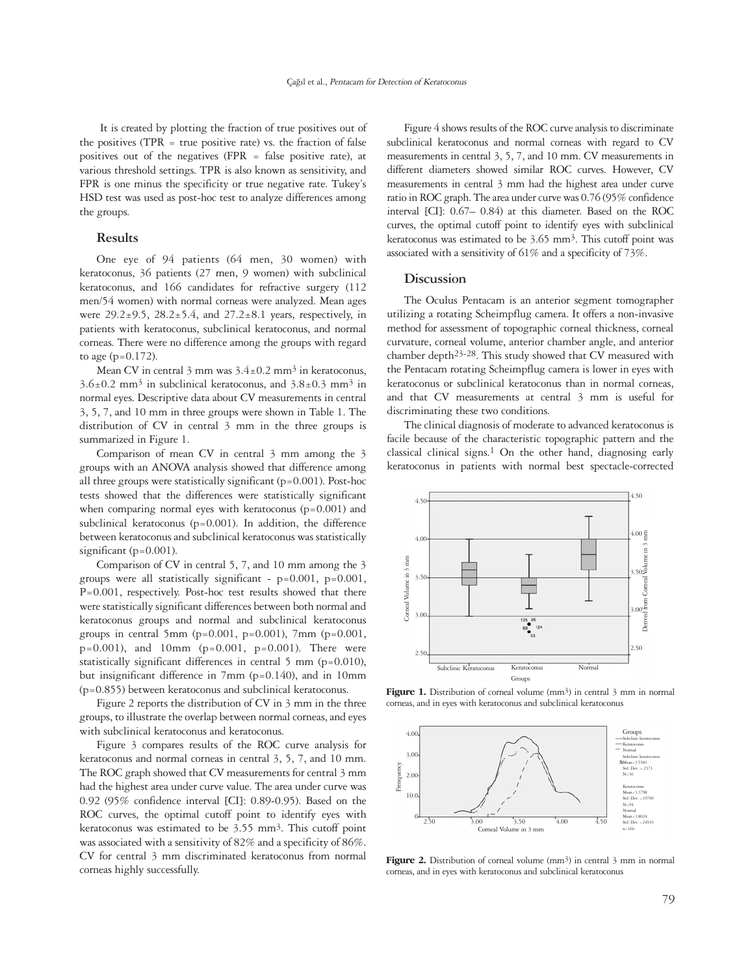It is created by plotting the fraction of true positives out of the positives ( $TPR = true$  positive rate) vs. the fraction of false positives out of the negatives (FPR = false positive rate), at various threshold settings. TPR is also known as sensitivity, and FPR is one minus the specificity or true negative rate. Tukey's HSD test was used as post-hoc test to analyze differences among the groups.

## **Results**

One eye of 94 patients (64 men, 30 women) with keratoconus, 36 patients (27 men, 9 women) with subclinical keratoconus, and 166 candidates for refractive surgery (112 men/54 women) with normal corneas were analyzed. Mean ages were  $29.2\pm9.5$ ,  $28.2\pm5.4$ , and  $27.2\pm8.1$  years, respectively, in patients with keratoconus, subclinical keratoconus, and normal corneas. There were no difference among the groups with regard to age  $(p=0.172)$ .

Mean CV in central  $3 \text{ mm}$  was  $3.4 \pm 0.2 \text{ mm}^3$  in keratoconus,  $3.6\pm0.2$  mm<sup>3</sup> in subclinical keratoconus, and  $3.8\pm0.3$  mm<sup>3</sup> in normal eyes. Descriptive data about CV measurements in central 3, 5, 7, and 10 mm in three groups were shown in Table 1. The distribution of CV in central 3 mm in the three groups is summarized in Figure 1.

Comparison of mean CV in central 3 mm among the 3 groups with an ANOVA analysis showed that difference among all three groups were statistically significant (p=0.001). Post-hoc tests showed that the differences were statistically significant when comparing normal eyes with keratoconus (p=0.001) and subclinical keratoconus (p=0.001). In addition, the difference between keratoconus and subclinical keratoconus was statistically significant (p=0.001).

Comparison of CV in central 5, 7, and 10 mm among the 3 groups were all statistically significant -  $p=0.001$ ,  $p=0.001$ , P=0.001, respectively. Post-hoc test results showed that there were statistically significant differences between both normal and keratoconus groups and normal and subclinical keratoconus groups in central 5mm ( $p=0.001$ ,  $p=0.001$ ), 7mm ( $p=0.001$ ,  $p=0.001$ ), and 10mm ( $p=0.001$ ,  $p=0.001$ ). There were statistically significant differences in central 5 mm (p=0.010), but insignificant difference in 7mm (p=0.140), and in 10mm (p=0.855) between keratoconus and subclinical keratoconus.

Figure 2 reports the distribution of CV in 3 mm in the three groups, to illustrate the overlap between normal corneas, and eyes with subclinical keratoconus and keratoconus.

Figure 3 compares results of the ROC curve analysis for keratoconus and normal corneas in central 3, 5, 7, and 10 mm. The ROC graph showed that CV measurements for central 3 mm had the highest area under curve value. The area under curve was 0.92 (95% confidence interval [CI]: 0.89-0.95). Based on the ROC curves, the optimal cutoff point to identify eyes with keratoconus was estimated to be 3.55 mm3. This cutoff point was associated with a sensitivity of 82% and a specificity of 86%. CV for central 3 mm discriminated keratoconus from normal corneas highly successfully.

Figure 4 shows results of the ROC curve analysis to discriminate subclinical keratoconus and normal corneas with regard to CV measurements in central 3, 5, 7, and 10 mm. CV measurements in different diameters showed similar ROC curves. However, CV measurements in central 3 mm had the highest area under curve ratio in ROC graph. The area under curve was 0.76 (95% confidence interval [CI]: 0.67– 0.84) at this diameter. Based on the ROC curves, the optimal cutoff point to identify eyes with subclinical keratoconus was estimated to be 3.65 mm3. This cutoff point was associated with a sensitivity of 61% and a specificity of 73%.

### **Discussion**

The Oculus Pentacam is an anterior segment tomographer utilizing a rotating Scheimpflug camera. It offers a non-invasive method for assessment of topographic corneal thickness, corneal curvature, corneal volume, anterior chamber angle, and anterior chamber depth23-28. This study showed that CV measured with the Pentacam rotating Scheimpflug camera is lower in eyes with keratoconus or subclinical keratoconus than in normal corneas, and that CV measurements at central 3 mm is useful for discriminating these two conditions.

The clinical diagnosis of moderate to advanced keratoconus is facile because of the characteristic topographic pattern and the classical clinical signs.1 On the other hand, diagnosing early keratoconus in patients with normal best spectacle-corrected



Figure 1. Distribution of corneal volume (mm<sup>3</sup>) in central 3 mm in normal corneas, and in eyes with keratoconus and subclinical keratoconus



Figure 2. Distribution of corneal volume (mm<sup>3</sup>) in central 3 mm in normal corneas, and in eyes with keratoconus and subclinical keratoconus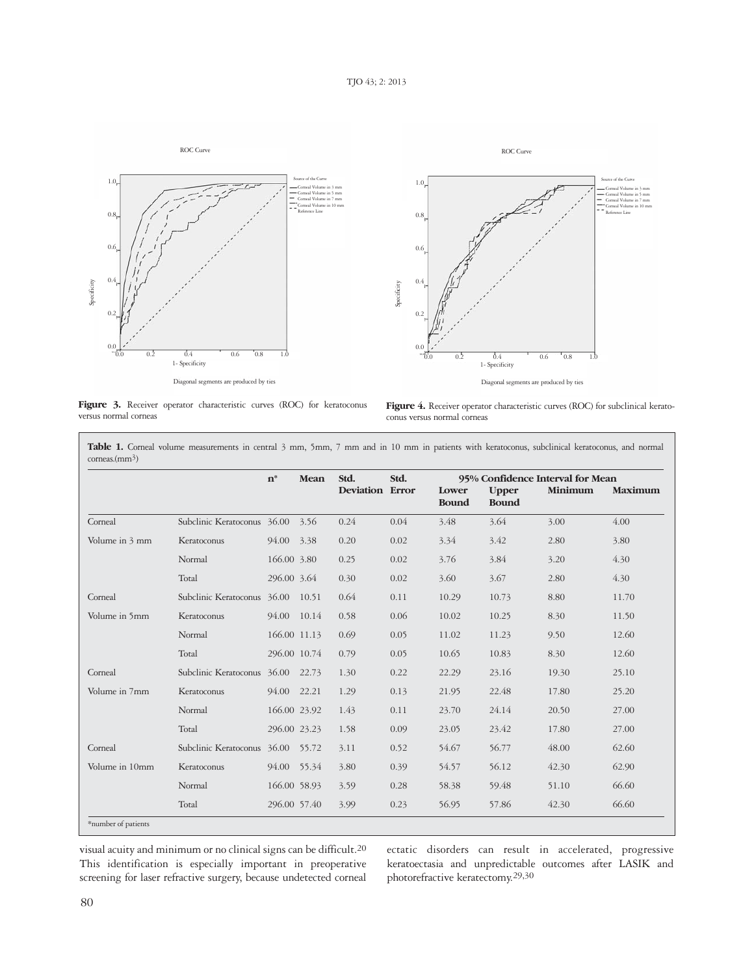

Figure 3. Receiver operator characteristic curves (ROC) for keratoconus versus normal corneas



Figure 4. Receiver operator characteristic curves (ROC) for subclinical keratoconus versus normal corneas

|                |                             | $n^*$        | Mean  | Std.<br><b>Deviation Error</b> | Std. | 95% Confidence Interval for Mean |                              |         |                |
|----------------|-----------------------------|--------------|-------|--------------------------------|------|----------------------------------|------------------------------|---------|----------------|
|                |                             |              |       |                                |      | Lower<br><b>Bound</b>            | <b>Upper</b><br><b>Bound</b> | Minimum | <b>Maximum</b> |
| Corneal        | Subclinic Keratoconus 36.00 |              | 3.56  | 0.24                           | 0.04 | 3.48                             | 3.64                         | 3.00    | 4.00           |
| Volume in 3 mm | Keratoconus                 | 94.00        | 3.38  | 0.20                           | 0.02 | 3.34                             | 3.42                         | 2.80    | 3.80           |
|                | Normal                      | 166.00 3.80  |       | 0.25                           | 0.02 | 3.76                             | 3.84                         | 3.20    | 4.30           |
|                | Total                       | 296.00 3.64  |       | 0.30                           | 0.02 | 3.60                             | 3.67                         | 2.80    | 4.30           |
| Corneal        | Subclinic Keratoconus       | 36.00        | 10.51 | 0.64                           | 0.11 | 10.29                            | 10.73                        | 8.80    | 11.70          |
| Volume in 5mm  | Keratoconus                 | 94.00        | 10.14 | 0.58                           | 0.06 | 10.02                            | 10.25                        | 8.30    | 11.50          |
|                | Normal                      | 166.00 11.13 |       | 0.69                           | 0.05 | 11.02                            | 11.23                        | 9.50    | 12.60          |
|                | Total                       | 296.00 10.74 |       | 0.79                           | 0.05 | 10.65                            | 10.83                        | 8.30    | 12.60          |
| Corneal        | Subclinic Keratoconus       | 36.00        | 22.73 | 1.30                           | 0.22 | 22.29                            | 23.16                        | 19.30   | 25.10          |
| Volume in 7mm  | Keratoconus                 | 94.00        | 22.21 | 1.29                           | 0.13 | 21.95                            | 22.48                        | 17.80   | 25.20          |
|                | Normal                      | 166.00 23.92 |       | 1.43                           | 0.11 | 23.70                            | 24.14                        | 20.50   | 27.00          |
|                | Total                       | 296.00 23.23 |       | 1.58                           | 0.09 | 23.05                            | 23.42                        | 17.80   | 27.00          |
| Corneal        | Subclinic Keratoconus       | 36.00        | 55.72 | 3.11                           | 0.52 | 54.67                            | 56.77                        | 48.00   | 62.60          |
| Volume in 10mm | Keratoconus                 | 94.00        | 55.34 | 3.80                           | 0.39 | 54.57                            | 56.12                        | 42.30   | 62.90          |
|                | Normal                      | 166.00 58.93 |       | 3.59                           | 0.28 | 58.38                            | 59.48                        | 51.10   | 66.60          |
|                | Total                       | 296.00 57.40 |       | 3.99                           | 0.23 | 56.95                            | 57.86                        | 42.30   | 66.60          |

Table 1. Corneal volume measurements in central 3 mm, 5mm, 7 mm and in 10 mm in patients with keratoconus, subclinical keratoconus, and normal

visual acuity and minimum or no clinical signs can be difficult.20 This identification is especially important in preoperative screening for laser refractive surgery, because undetected corneal ectatic disorders can result in accelerated, progressive keratoectasia and unpredictable outcomes after LASIK and photorefractive keratectomy.29,30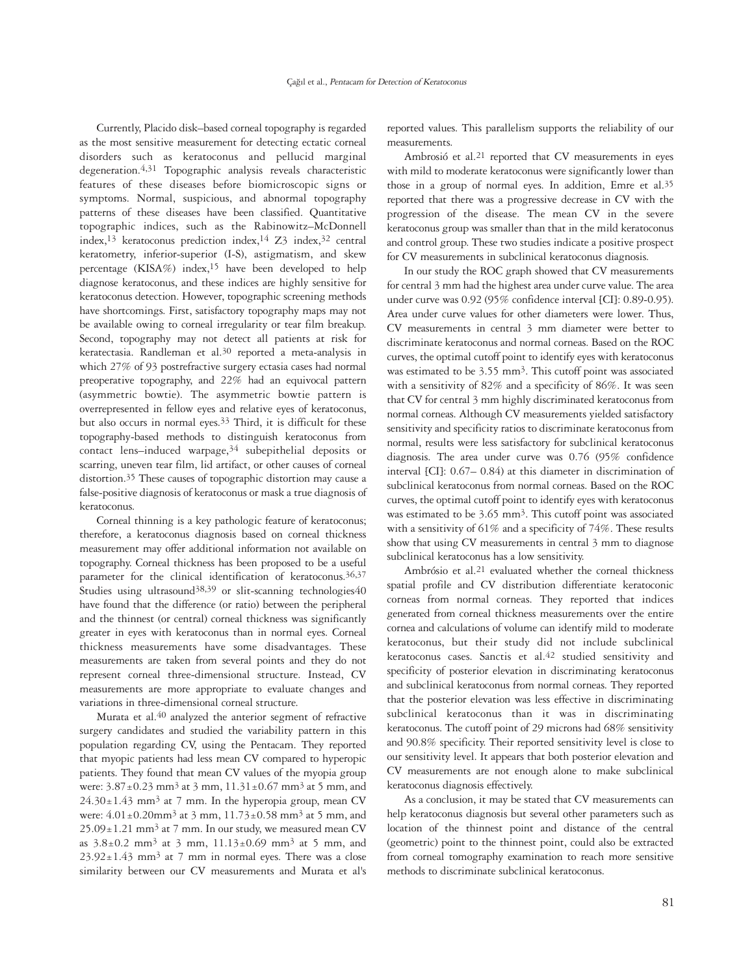Currently, Placido disk–based corneal topography is regarded as the most sensitive measurement for detecting ectatic corneal disorders such as keratoconus and pellucid marginal degeneration.4,31 Topographic analysis reveals characteristic features of these diseases before biomicroscopic signs or symptoms. Normal, suspicious, and abnormal topography patterns of these diseases have been classified. Quantitative topographic indices, such as the Rabinowitz–McDonnell index,<sup>13</sup> keratoconus prediction index,<sup>14</sup> Z<sub>3</sub> index,<sup>32</sup> central keratometry, inferior-superior (I-S), astigmatism, and skew percentage (KISA%) index,15 have been developed to help diagnose keratoconus, and these indices are highly sensitive for keratoconus detection. However, topographic screening methods have shortcomings. First, satisfactory topography maps may not be available owing to corneal irregularity or tear film breakup. Second, topography may not detect all patients at risk for keratectasia. Randleman et al.30 reported a meta-analysis in which 27% of 93 postrefractive surgery ectasia cases had normal preoperative topography, and 22% had an equivocal pattern (asymmetric bowtie). The asymmetric bowtie pattern is overrepresented in fellow eyes and relative eyes of keratoconus, but also occurs in normal eyes.33 Third, it is difficult for these topography-based methods to distinguish keratoconus from contact lens–induced warpage,34 subepithelial deposits or scarring, uneven tear film, lid artifact, or other causes of corneal distortion.35 These causes of topographic distortion may cause a false-positive diagnosis of keratoconus or mask a true diagnosis of keratoconus.

Corneal thinning is a key pathologic feature of keratoconus; therefore, a keratoconus diagnosis based on corneal thickness measurement may offer additional information not available on topography. Corneal thickness has been proposed to be a useful parameter for the clinical identification of keratoconus.36,37 Studies using ultrasound<sup>38,39</sup> or slit-scanning technologies40 have found that the difference (or ratio) between the peripheral and the thinnest (or central) corneal thickness was significantly greater in eyes with keratoconus than in normal eyes. Corneal thickness measurements have some disadvantages. These measurements are taken from several points and they do not represent corneal three-dimensional structure. Instead, CV measurements are more appropriate to evaluate changes and variations in three-dimensional corneal structure.

Murata et al.40 analyzed the anterior segment of refractive surgery candidates and studied the variability pattern in this population regarding CV, using the Pentacam. They reported that myopic patients had less mean CV compared to hyperopic patients. They found that mean CV values of the myopia group were:  $3.87 \pm 0.23$  mm<sup>3</sup> at 3 mm,  $11.31 \pm 0.67$  mm<sup>3</sup> at 5 mm, and  $24.30 \pm 1.43$  mm<sup>3</sup> at 7 mm. In the hyperopia group, mean CV were:  $4.01 \pm 0.20$  mm<sup>3</sup> at 3 mm,  $11.73 \pm 0.58$  mm<sup>3</sup> at 5 mm, and  $25.09 \pm 1.21$  mm<sup>3</sup> at 7 mm. In our study, we measured mean CV as  $3.8\pm0.2$  mm<sup>3</sup> at 3 mm,  $11.13\pm0.69$  mm<sup>3</sup> at 5 mm, and  $23.92 \pm 1.43$  mm<sup>3</sup> at 7 mm in normal eyes. There was a close similarity between our CV measurements and Murata et al's

reported values. This parallelism supports the reliability of our measurements.

Ambrosió et al.21 reported that CV measurements in eyes with mild to moderate keratoconus were significantly lower than those in a group of normal eyes. In addition, Emre et al.35 reported that there was a progressive decrease in CV with the progression of the disease. The mean CV in the severe keratoconus group was smaller than that in the mild keratoconus and control group. These two studies indicate a positive prospect for CV measurements in subclinical keratoconus diagnosis.

In our study the ROC graph showed that CV measurements for central 3 mm had the highest area under curve value. The area under curve was 0.92 (95% confidence interval [CI]: 0.89-0.95). Area under curve values for other diameters were lower. Thus, CV measurements in central 3 mm diameter were better to discriminate keratoconus and normal corneas. Based on the ROC curves, the optimal cutoff point to identify eyes with keratoconus was estimated to be 3.55 mm<sup>3</sup>. This cutoff point was associated with a sensitivity of 82% and a specificity of 86%. It was seen that CV for central 3 mm highly discriminated keratoconus from normal corneas. Although CV measurements yielded satisfactory sensitivity and specificity ratios to discriminate keratoconus from normal, results were less satisfactory for subclinical keratoconus diagnosis. The area under curve was 0.76 (95% confidence interval [CI]: 0.67– 0.84) at this diameter in discrimination of subclinical keratoconus from normal corneas. Based on the ROC curves, the optimal cutoff point to identify eyes with keratoconus was estimated to be 3.65 mm3. This cutoff point was associated with a sensitivity of 61% and a specificity of 74%. These results show that using CV measurements in central 3 mm to diagnose subclinical keratoconus has a low sensitivity.

Ambrósio et al.21 evaluated whether the corneal thickness spatial profile and CV distribution differentiate keratoconic corneas from normal corneas. They reported that indices generated from corneal thickness measurements over the entire cornea and calculations of volume can identify mild to moderate keratoconus, but their study did not include subclinical keratoconus cases. Sanctis et al.42 studied sensitivity and specificity of posterior elevation in discriminating keratoconus and subclinical keratoconus from normal corneas. They reported that the posterior elevation was less effective in discriminating subclinical keratoconus than it was in discriminating keratoconus. The cutoff point of 29 microns had 68% sensitivity and 90.8% specificity. Their reported sensitivity level is close to our sensitivity level. It appears that both posterior elevation and CV measurements are not enough alone to make subclinical keratoconus diagnosis effectively.

As a conclusion, it may be stated that CV measurements can help keratoconus diagnosis but several other parameters such as location of the thinnest point and distance of the central (geometric) point to the thinnest point, could also be extracted from corneal tomography examination to reach more sensitive methods to discriminate subclinical keratoconus.